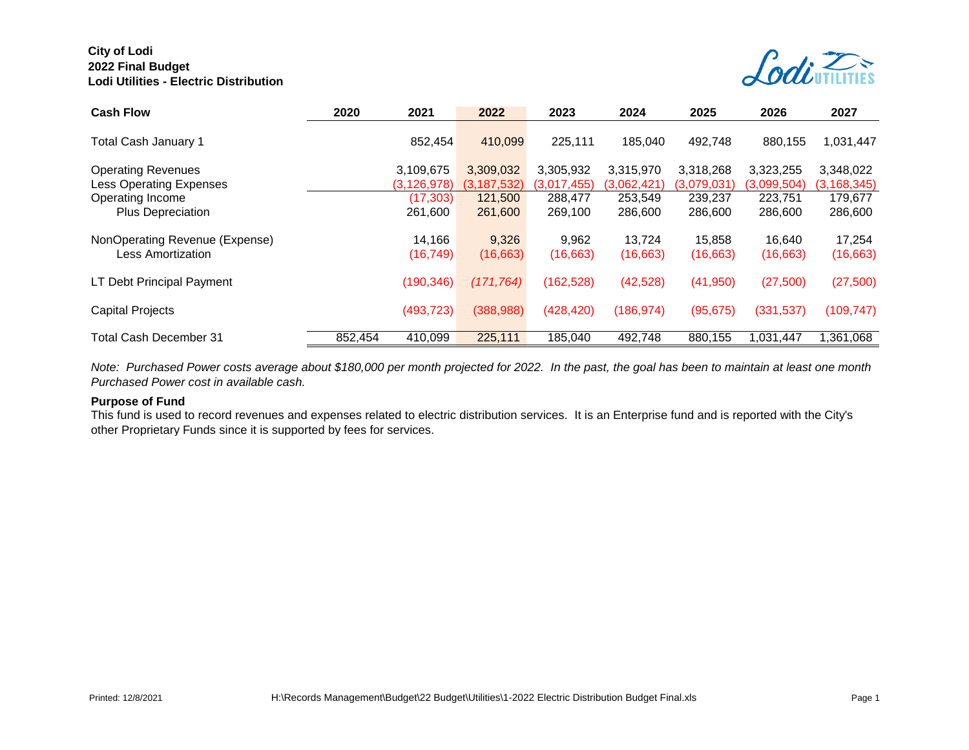

| <b>Cash Flow</b>                                            | 2020    | 2021                       | 2022                       | 2023                     |                          | 2025                     | 2026                     | 2027                       |  |
|-------------------------------------------------------------|---------|----------------------------|----------------------------|--------------------------|--------------------------|--------------------------|--------------------------|----------------------------|--|
| Total Cash January 1                                        |         | 852.454                    | 410.099                    | 225,111                  | 185.040                  | 492.748                  | 880.155                  | 1,031,447                  |  |
| <b>Operating Revenues</b><br><b>Less Operating Expenses</b> |         | 3.109.675<br>(3, 126, 978) | 3,309,032<br>(3, 187, 532) | 3,305,932<br>(3,017,455) | 3.315.970<br>(3,062,421) | 3,318,268<br>(3,079,031) | 3,323,255<br>(3,099,504) | 3,348,022<br>(3, 168, 345) |  |
| Operating Income<br>Plus Depreciation                       |         | (17, 303)<br>261.600       | 121,500<br>261,600         | 288,477<br>269,100       | 253,549<br>286,600       | 239,237<br>286,600       | 223,751<br>286,600       | 179,677<br>286,600         |  |
| NonOperating Revenue (Expense)<br>Less Amortization         |         | 14.166<br>(16, 749)        | 9,326<br>(16, 663)         | 9.962<br>(16, 663)       | 13.724<br>(16, 663)      | 15.858<br>(16, 663)      | 16.640<br>(16, 663)      | 17.254<br>(16, 663)        |  |
| LT Debt Principal Payment                                   |         | (190, 346)                 | (171, 764)                 | (162, 528)               | (42, 528)                | (41, 950)                | (27, 500)                | (27, 500)                  |  |
| <b>Capital Projects</b>                                     |         | (493, 723)                 | (388, 988)                 | (428, 420)               | (186,974)                | (95, 675)                | (331, 537)               | (109, 747)                 |  |
| Total Cash December 31                                      | 852,454 | 410,099                    | 225,111                    | 185,040                  | 492,748                  | 880,155                  | 1,031,447                | 1,361,068                  |  |

*Note: Purchased Power costs average about \$180,000 per month projected for 2022. In the past, the goal has been to maintain at least one month Purchased Power cost in available cash.*

#### **Purpose of Fund**

This fund is used to record revenues and expenses related to electric distribution services. It is an Enterprise fund and is reported with the City's other Proprietary Funds since it is supported by fees for services.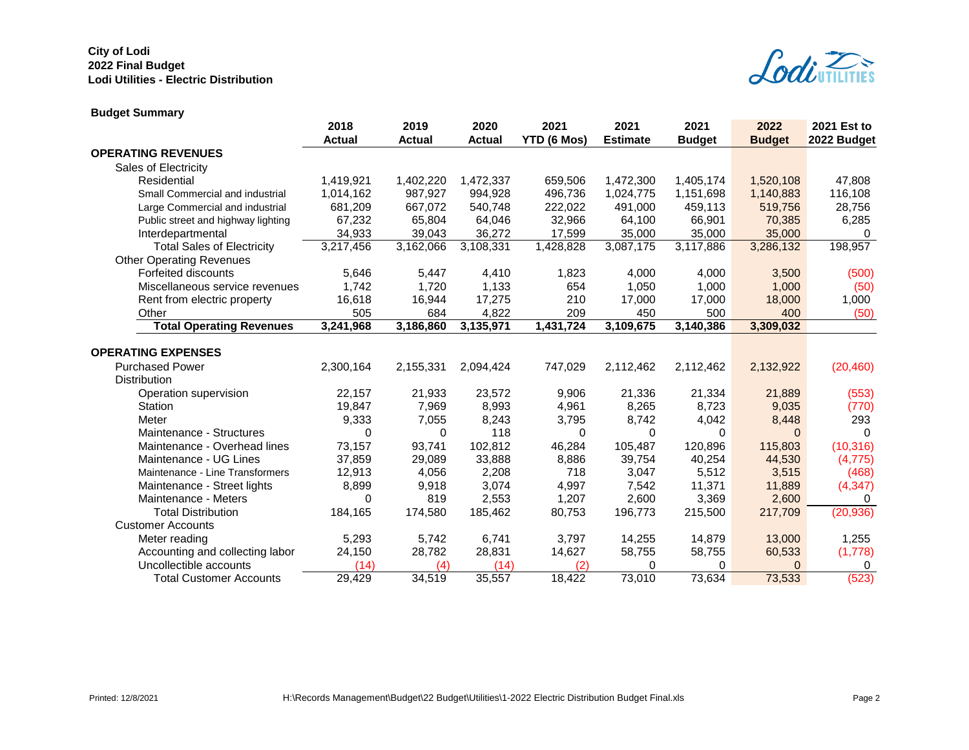

# **Budget Summary**

|                                    | 2018          | 2019          | 2020      | 2021        | 2021            | 2021          | 2022          | 2021 Est to |
|------------------------------------|---------------|---------------|-----------|-------------|-----------------|---------------|---------------|-------------|
|                                    | <b>Actual</b> | <b>Actual</b> | Actual    | YTD (6 Mos) | <b>Estimate</b> | <b>Budget</b> | <b>Budget</b> | 2022 Budget |
| <b>OPERATING REVENUES</b>          |               |               |           |             |                 |               |               |             |
| Sales of Electricity               |               |               |           |             |                 |               |               |             |
| Residential                        | 1,419,921     | 1,402,220     | 1,472,337 | 659,506     | 1,472,300       | 1,405,174     | 1,520,108     | 47,808      |
| Small Commercial and industrial    | 1,014,162     | 987,927       | 994,928   | 496,736     | 1,024,775       | 1,151,698     | 1,140,883     | 116,108     |
| Large Commercial and industrial    | 681,209       | 667,072       | 540,748   | 222,022     | 491,000         | 459,113       | 519,756       | 28,756      |
| Public street and highway lighting | 67,232        | 65,804        | 64,046    | 32,966      | 64,100          | 66,901        | 70,385        | 6,285       |
| Interdepartmental                  | 34,933        | 39,043        | 36,272    | 17,599      | 35,000          | 35,000        | 35,000        | 0           |
| <b>Total Sales of Electricity</b>  | 3,217,456     | 3,162,066     | 3,108,331 | 1,428,828   | 3,087,175       | 3,117,886     | 3,286,132     | 198,957     |
| <b>Other Operating Revenues</b>    |               |               |           |             |                 |               |               |             |
| Forfeited discounts                | 5,646         | 5,447         | 4,410     | 1,823       | 4,000           | 4,000         | 3,500         | (500)       |
| Miscellaneous service revenues     | 1,742         | 1,720         | 1,133     | 654         | 1,050           | 1,000         | 1,000         | (50)        |
| Rent from electric property        | 16,618        | 16,944        | 17,275    | 210         | 17,000          | 17,000        | 18,000        | 1,000       |
| Other                              | 505           | 684           | 4,822     | 209         | 450             | 500           | 400           | (50)        |
| <b>Total Operating Revenues</b>    | 3,241,968     | 3,186,860     | 3,135,971 | 1,431,724   | 3,109,675       | 3,140,386     | 3,309,032     |             |
|                                    |               |               |           |             |                 |               |               |             |
| <b>OPERATING EXPENSES</b>          |               |               |           |             |                 |               |               |             |
| <b>Purchased Power</b>             | 2,300,164     | 2,155,331     | 2,094,424 | 747,029     | 2,112,462       | 2,112,462     | 2,132,922     | (20, 460)   |
| <b>Distribution</b>                |               |               |           |             |                 |               |               |             |
| Operation supervision              | 22,157        | 21,933        | 23,572    | 9,906       | 21,336          | 21,334        | 21,889        | (553)       |
| Station                            | 19,847        | 7,969         | 8,993     | 4,961       | 8,265           | 8,723         | 9,035         | (770)       |
| Meter                              | 9,333         | 7,055         | 8,243     | 3,795       | 8,742           | 4,042         | 8,448         | 293         |
| Maintenance - Structures           | 0             | 0             | 118       | 0           | 0               | 0             | $\Omega$      | $\Omega$    |
| Maintenance - Overhead lines       | 73,157        | 93,741        | 102,812   | 46,284      | 105,487         | 120,896       | 115,803       | (10, 316)   |
| Maintenance - UG Lines             | 37,859        | 29,089        | 33,888    | 8,886       | 39,754          | 40,254        | 44,530        | (4, 775)    |
| Maintenance - Line Transformers    | 12,913        | 4,056         | 2,208     | 718         | 3,047           | 5,512         | 3,515         | (468)       |
| Maintenance - Street lights        | 8,899         | 9,918         | 3,074     | 4,997       | 7,542           | 11,371        | 11,889        | (4, 347)    |
| Maintenance - Meters               | $\Omega$      | 819           | 2,553     | 1,207       | 2,600           | 3,369         | 2,600         | 0           |
| <b>Total Distribution</b>          | 184,165       | 174,580       | 185,462   | 80,753      | 196,773         | 215,500       | 217,709       | (20, 936)   |
| <b>Customer Accounts</b>           |               |               |           |             |                 |               |               |             |
| Meter reading                      | 5,293         | 5,742         | 6,741     | 3,797       | 14,255          | 14,879        | 13,000        | 1,255       |
| Accounting and collecting labor    | 24,150        | 28,782        | 28,831    | 14,627      | 58,755          | 58,755        | 60,533        | (1,778)     |
| Uncollectible accounts             | (14)          | (4)           | (14)      | (2)         | 0               | 0             | $\Omega$      | 0           |
| <b>Total Customer Accounts</b>     | 29,429        | 34,519        | 35,557    | 18,422      | 73,010          | 73,634        | 73,533        | (523)       |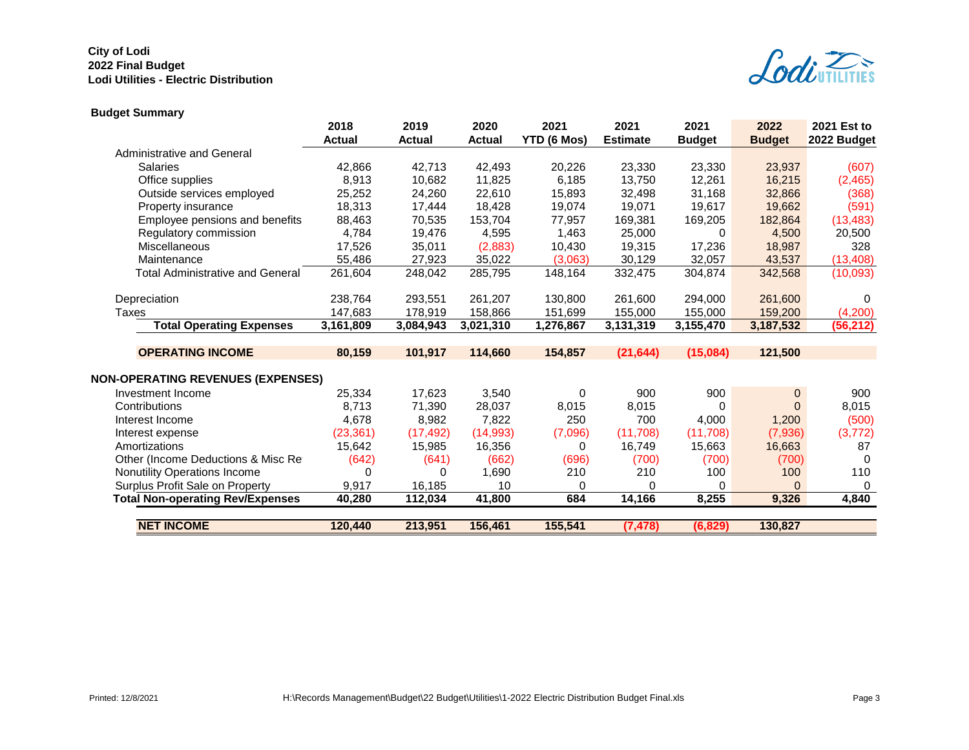

# **Budget Summary**

|                                          | 2018          | 2019          | 2020          | 2021        | 2021            | 2021          | 2022          | 2021 Est to |
|------------------------------------------|---------------|---------------|---------------|-------------|-----------------|---------------|---------------|-------------|
|                                          | <b>Actual</b> | <b>Actual</b> | <b>Actual</b> | YTD (6 Mos) | <b>Estimate</b> | <b>Budget</b> | <b>Budget</b> | 2022 Budget |
| <b>Administrative and General</b>        |               |               |               |             |                 |               |               |             |
| <b>Salaries</b>                          | 42,866        | 42,713        | 42,493        | 20,226      | 23,330          | 23,330        | 23,937        | (607)       |
| Office supplies                          | 8,913         | 10,682        | 11,825        | 6,185       | 13,750          | 12,261        | 16,215        | (2,465)     |
| Outside services employed                | 25,252        | 24,260        | 22,610        | 15,893      | 32,498          | 31,168        | 32,866        | (368)       |
| Property insurance                       | 18,313        | 17,444        | 18,428        | 19,074      | 19,071          | 19,617        | 19,662        | (591)       |
| Employee pensions and benefits           | 88,463        | 70,535        | 153,704       | 77,957      | 169,381         | 169,205       | 182,864       | (13, 483)   |
| Regulatory commission                    | 4,784         | 19,476        | 4,595         | 1,463       | 25,000          | 0             | 4,500         | 20,500      |
| <b>Miscellaneous</b>                     | 17,526        | 35,011        | (2,883)       | 10,430      | 19,315          | 17,236        | 18,987        | 328         |
| Maintenance                              | 55,486        | 27,923        | 35,022        | (3,063)     | 30,129          | 32,057        | 43,537        | (13, 408)   |
| <b>Total Administrative and General</b>  | 261,604       | 248,042       | 285,795       | 148,164     | 332,475         | 304,874       | 342,568       | (10,093)    |
|                                          |               |               |               |             |                 |               |               |             |
| Depreciation                             | 238,764       | 293,551       | 261,207       | 130,800     | 261,600         | 294,000       | 261,600       | $\Omega$    |
| Taxes                                    | 147,683       | 178.919       | 158,866       | 151,699     | 155.000         | 155,000       | 159,200       | (4,200)     |
| <b>Total Operating Expenses</b>          | 3,161,809     | 3,084,943     | 3,021,310     | 1,276,867   | 3,131,319       | 3,155,470     | 3,187,532     | (56, 212)   |
|                                          |               |               |               |             |                 |               |               |             |
| <b>OPERATING INCOME</b>                  | 80,159        | 101,917       | 114,660       | 154,857     | (21, 644)       | (15,084)      | 121,500       |             |
|                                          |               |               |               |             |                 |               |               |             |
| <b>NON-OPERATING REVENUES (EXPENSES)</b> |               |               |               |             |                 |               |               |             |
| Investment Income                        | 25,334        | 17,623        | 3,540         | 0           | 900             | 900           | 0             | 900         |
| Contributions                            | 8,713         | 71,390        | 28,037        | 8,015       | 8,015           | 0             | 0             | 8,015       |
| Interest Income                          | 4,678         | 8,982         | 7,822         | 250         | 700             | 4,000         | 1,200         | (500)       |
| Interest expense                         | (23, 361)     | (17, 492)     | (14,993)      | (7,096)     | (11,708)        | (11,708)      | (7,936)       | (3, 772)    |
| Amortizations                            | 15,642        | 15,985        | 16,356        | 0           | 16,749          | 15,663        | 16,663        | 87          |
| Other (Income Deductions & Misc Re       | (642)         | (641)         | (662)         | (696)       | (700)           | (700)         | (700)         | $\Omega$    |
| Nonutility Operations Income             | 0             | 0             | 1,690         | 210         | 210             | 100           | 100           | 110         |
| Surplus Profit Sale on Property          | 9,917         | 16,185        | 10            | 0           | $\Omega$        | 0             | $\Omega$      | 0           |
| <b>Total Non-operating Rev/Expenses</b>  | 40,280        | 112,034       | 41,800        | 684         | 14,166          | 8,255         | 9,326         | 4,840       |
|                                          |               |               |               |             |                 |               |               |             |
| <b>NET INCOME</b>                        | 120,440       | 213,951       | 156,461       | 155,541     | (7, 478)        | (6, 829)      | 130,827       |             |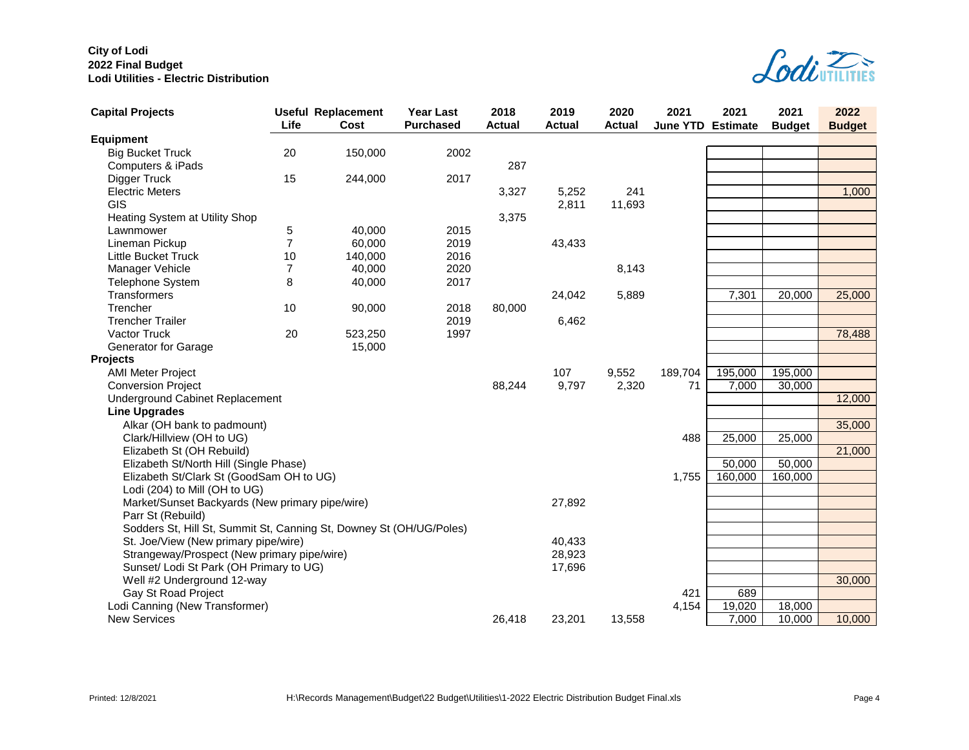

| <b>Capital Projects</b>                                             | Life           | <b>Useful Replacement</b><br>Cost | <b>Year Last</b><br><b>Purchased</b> | 2018<br><b>Actual</b> | 2019<br><b>Actual</b> | 2020<br><b>Actual</b> | 2021<br><b>June YTD Estimate</b> | 2021    | 2021<br><b>Budget</b> | 2022<br><b>Budget</b> |
|---------------------------------------------------------------------|----------------|-----------------------------------|--------------------------------------|-----------------------|-----------------------|-----------------------|----------------------------------|---------|-----------------------|-----------------------|
| <b>Equipment</b>                                                    |                |                                   |                                      |                       |                       |                       |                                  |         |                       |                       |
| <b>Big Bucket Truck</b>                                             | 20             | 150,000                           | 2002                                 |                       |                       |                       |                                  |         |                       |                       |
| Computers & iPads                                                   |                |                                   |                                      | 287                   |                       |                       |                                  |         |                       |                       |
| Digger Truck                                                        | 15             | 244,000                           | 2017                                 |                       |                       |                       |                                  |         |                       |                       |
| <b>Electric Meters</b>                                              |                |                                   |                                      | 3,327                 | 5,252                 | 241                   |                                  |         |                       | 1,000                 |
| GIS                                                                 |                |                                   |                                      |                       | 2,811                 | 11,693                |                                  |         |                       |                       |
| Heating System at Utility Shop                                      |                |                                   |                                      | 3,375                 |                       |                       |                                  |         |                       |                       |
| Lawnmower                                                           | 5              | 40,000                            | 2015                                 |                       |                       |                       |                                  |         |                       |                       |
| Lineman Pickup                                                      | $\overline{7}$ | 60,000                            | 2019                                 |                       | 43,433                |                       |                                  |         |                       |                       |
| <b>Little Bucket Truck</b>                                          | 10             | 140,000                           | 2016                                 |                       |                       |                       |                                  |         |                       |                       |
| Manager Vehicle                                                     | 7              | 40,000                            | 2020                                 |                       |                       | 8,143                 |                                  |         |                       |                       |
| <b>Telephone System</b>                                             | 8              | 40,000                            | 2017                                 |                       |                       |                       |                                  |         |                       |                       |
| <b>Transformers</b>                                                 |                |                                   |                                      |                       | 24,042                | 5,889                 |                                  | 7,301   | 20,000                | 25,000                |
| Trencher                                                            | 10             | 90,000                            | 2018                                 | 80,000                |                       |                       |                                  |         |                       |                       |
| <b>Trencher Trailer</b>                                             |                |                                   | 2019                                 |                       | 6,462                 |                       |                                  |         |                       |                       |
| Vactor Truck                                                        | 20             | 523,250                           | 1997                                 |                       |                       |                       |                                  |         |                       | 78,488                |
| <b>Generator for Garage</b>                                         |                | 15,000                            |                                      |                       |                       |                       |                                  |         |                       |                       |
| <b>Projects</b>                                                     |                |                                   |                                      |                       |                       |                       |                                  |         |                       |                       |
| <b>AMI Meter Project</b>                                            |                |                                   |                                      |                       | 107                   | 9,552                 | 189,704                          | 195,000 | 195,000               |                       |
| <b>Conversion Project</b>                                           |                |                                   |                                      | 88,244                | 9,797                 | 2,320                 | 71                               | 7,000   | $\overline{30,000}$   |                       |
| Underground Cabinet Replacement                                     |                |                                   |                                      |                       |                       |                       |                                  |         |                       | 12,000                |
| <b>Line Upgrades</b>                                                |                |                                   |                                      |                       |                       |                       |                                  |         |                       |                       |
| Alkar (OH bank to padmount)                                         |                |                                   |                                      |                       |                       |                       |                                  |         |                       | 35,000                |
| Clark/Hillview (OH to UG)                                           |                |                                   |                                      |                       |                       |                       | 488                              | 25,000  | 25,000                |                       |
| Elizabeth St (OH Rebuild)                                           |                |                                   |                                      |                       |                       |                       |                                  |         |                       | 21,000                |
| Elizabeth St/North Hill (Single Phase)                              |                |                                   |                                      |                       |                       |                       |                                  | 50,000  | 50,000                |                       |
| Elizabeth St/Clark St (GoodSam OH to UG)                            |                |                                   |                                      |                       |                       |                       | 1,755                            | 160,000 | 160,000               |                       |
| Lodi (204) to Mill (OH to UG)                                       |                |                                   |                                      |                       |                       |                       |                                  |         |                       |                       |
| Market/Sunset Backyards (New primary pipe/wire)                     |                |                                   |                                      |                       | 27,892                |                       |                                  |         |                       |                       |
| Parr St (Rebuild)                                                   |                |                                   |                                      |                       |                       |                       |                                  |         |                       |                       |
| Sodders St, Hill St, Summit St, Canning St, Downey St (OH/UG/Poles) |                |                                   |                                      |                       |                       |                       |                                  |         |                       |                       |
| St. Joe/View (New primary pipe/wire)                                |                |                                   |                                      |                       | 40,433                |                       |                                  |         |                       |                       |
| Strangeway/Prospect (New primary pipe/wire)                         |                |                                   |                                      |                       | 28,923                |                       |                                  |         |                       |                       |
| Sunset/ Lodi St Park (OH Primary to UG)                             |                |                                   |                                      |                       | 17,696                |                       |                                  |         |                       |                       |
| Well #2 Underground 12-way                                          |                |                                   |                                      |                       |                       |                       |                                  |         |                       | 30,000                |
| Gay St Road Project                                                 |                |                                   |                                      |                       |                       |                       | 421                              | 689     |                       |                       |
| Lodi Canning (New Transformer)                                      |                |                                   |                                      |                       |                       |                       | 4,154                            | 19,020  | 18,000                |                       |
| <b>New Services</b>                                                 |                |                                   |                                      | 26,418                | 23,201                | 13,558                |                                  | 7,000   | 10,000                | 10,000                |